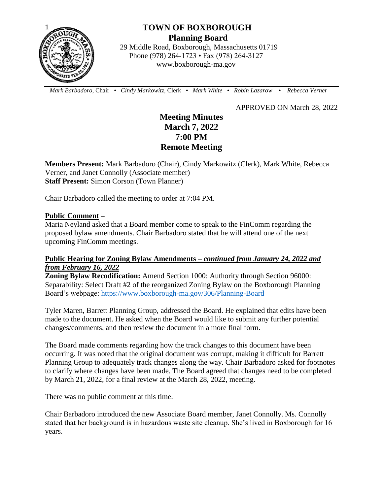

# **TOWN OF BOXBOROUGH Planning Board**

 29 Middle Road, Boxborough, Massachusetts 01719 Phone (978) 264-1723 • Fax (978) 264-3127 www.boxborough-ma.gov

 *Mark Barbadoro*, Chair • *Cindy Markowitz,* Clerk • *Mark White* • *Robin Lazarow* • *Rebecca Verner*

APPROVED ON March 28, 2022

# **Meeting Minutes March 7, 2022 7:00 PM Remote Meeting**

**Members Present:** Mark Barbadoro (Chair), Cindy Markowitz (Clerk), Mark White, Rebecca Verner, and Janet Connolly (Associate member) **Staff Present:** Simon Corson (Town Planner)

Chair Barbadoro called the meeting to order at 7:04 PM.

### **Public Comment –**

Maria Neyland asked that a Board member come to speak to the FinComm regarding the proposed bylaw amendments. Chair Barbadoro stated that he will attend one of the next upcoming FinComm meetings.

# **Public Hearing for Zoning Bylaw Amendments –** *continued from January 24, 2022 and from February 16, 2022*

**Zoning Bylaw Recodification:** Amend Section 1000: Authority through Section 96000: Separability: Select Draft #2 of the reorganized Zoning Bylaw on the Boxborough Planning Board's webpage:<https://www.boxborough-ma.gov/306/Planning-Board>

Tyler Maren, Barrett Planning Group, addressed the Board. He explained that edits have been made to the document. He asked when the Board would like to submit any further potential changes/comments, and then review the document in a more final form.

The Board made comments regarding how the track changes to this document have been occurring. It was noted that the original document was corrupt, making it difficult for Barrett Planning Group to adequately track changes along the way. Chair Barbadoro asked for footnotes to clarify where changes have been made. The Board agreed that changes need to be completed by March 21, 2022, for a final review at the March 28, 2022, meeting.

There was no public comment at this time.

Chair Barbadoro introduced the new Associate Board member, Janet Connolly. Ms. Connolly stated that her background is in hazardous waste site cleanup. She's lived in Boxborough for 16 years.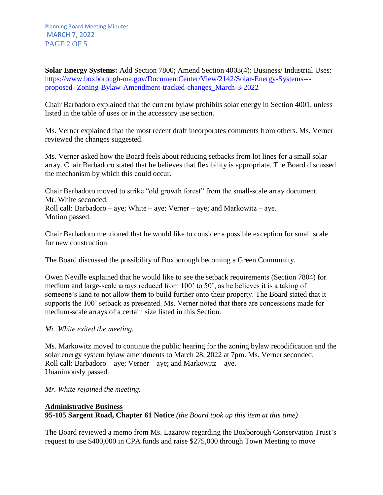**Solar Energy Systems:** Add Section 7800; Amend Section 4003(4): Business/ Industrial Uses: https://www.boxborough-ma.gov/DocumentCenter/View/2142/Solar-Energy-Systems-- proposed- Zoning-Bylaw-Amendment-tracked-changes\_March-3-2022

Chair Barbadoro explained that the current bylaw prohibits solar energy in Section 4001, unless listed in the table of uses or in the accessory use section.

Ms. Verner explained that the most recent draft incorporates comments from others. Ms. Verner reviewed the changes suggested.

Ms. Verner asked how the Board feels about reducing setbacks from lot lines for a small solar array. Chair Barbadoro stated that he believes that flexibility is appropriate. The Board discussed the mechanism by which this could occur.

Chair Barbadoro moved to strike "old growth forest" from the small-scale array document. Mr. White seconded. Roll call: Barbadoro – aye; White – aye; Verner – aye; and Markowitz – aye. Motion passed.

Chair Barbadoro mentioned that he would like to consider a possible exception for small scale for new construction.

The Board discussed the possibility of Boxborough becoming a Green Community.

Owen Neville explained that he would like to see the setback requirements (Section 7804) for medium and large-scale arrays reduced from 100' to 50', as he believes it is a taking of someone's land to not allow them to build further onto their property. The Board stated that it supports the 100' setback as presented. Ms. Verner noted that there are concessions made for medium-scale arrays of a certain size listed in this Section.

### *Mr. White exited the meeting.*

Ms. Markowitz moved to continue the public hearing for the zoning bylaw recodification and the solar energy system bylaw amendments to March 28, 2022 at 7pm. Ms. Verner seconded. Roll call: Barbadoro – aye; Verner – aye; and Markowitz – aye. Unanimously passed.

### *Mr. White rejoined the meeting.*

# **Administrative Business 95-105 Sargent Road, Chapter 61 Notice** *(the Board took up this item at this time)*

The Board reviewed a memo from Ms. Lazarow regarding the Boxborough Conservation Trust's request to use \$400,000 in CPA funds and raise \$275,000 through Town Meeting to move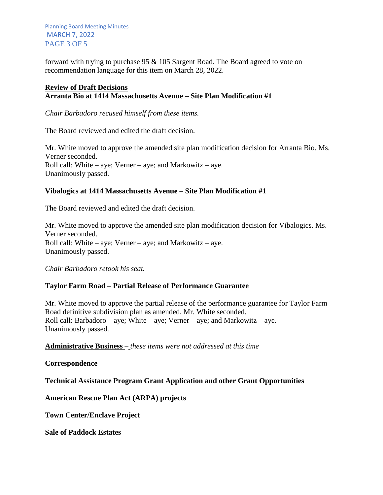Planning Board Meeting Minutes MARCH 7, 2022 PAGE 3 OF 5

forward with trying to purchase 95 & 105 Sargent Road. The Board agreed to vote on recommendation language for this item on March 28, 2022.

## **Review of Draft Decisions Arranta Bio at 1414 Massachusetts Avenue – Site Plan Modification #1**

*Chair Barbadoro recused himself from these items.*

The Board reviewed and edited the draft decision.

Mr. White moved to approve the amended site plan modification decision for Arranta Bio. Ms. Verner seconded. Roll call: White – aye; Verner – aye; and Markowitz – aye. Unanimously passed.

## **Vibalogics at 1414 Massachusetts Avenue – Site Plan Modification #1**

The Board reviewed and edited the draft decision.

Mr. White moved to approve the amended site plan modification decision for Vibalogics. Ms. Verner seconded. Roll call: White – aye; Verner – aye; and Markowitz – aye. Unanimously passed.

*Chair Barbadoro retook his seat.*

### **Taylor Farm Road – Partial Release of Performance Guarantee**

Mr. White moved to approve the partial release of the performance guarantee for Taylor Farm Road definitive subdivision plan as amended. Mr. White seconded. Roll call: Barbadoro – aye; White – aye; Verner – aye; and Markowitz – aye. Unanimously passed.

**Administrative Business –** *these items were not addressed at this time*

**Correspondence**

**Technical Assistance Program Grant Application and other Grant Opportunities**

**American Rescue Plan Act (ARPA) projects**

**Town Center/Enclave Project**

**Sale of Paddock Estates**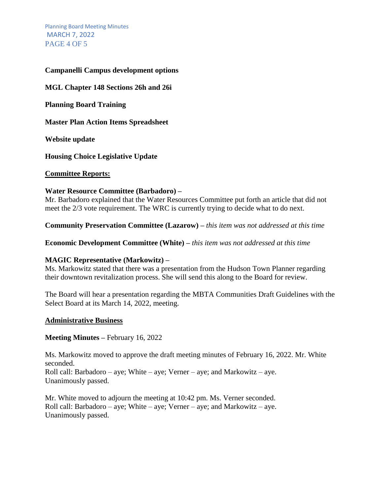Planning Board Meeting Minutes MARCH 7, 2022 PAGE 4 OF 5

### **Campanelli Campus development options**

**MGL Chapter 148 Sections 26h and 26i**

**Planning Board Training**

**Master Plan Action Items Spreadsheet** 

**Website update**

**Housing Choice Legislative Update**

#### **Committee Reports:**

#### **Water Resource Committee (Barbadoro) –**

Mr. Barbadoro explained that the Water Resources Committee put forth an article that did not meet the 2/3 vote requirement. The WRC is currently trying to decide what to do next.

**Community Preservation Committee (Lazarow) –** *this item was not addressed at this time*

**Economic Development Committee (White) –** *this item was not addressed at this time*

### **MAGIC Representative (Markowitz) –**

Ms. Markowitz stated that there was a presentation from the Hudson Town Planner regarding their downtown revitalization process. She will send this along to the Board for review.

The Board will hear a presentation regarding the MBTA Communities Draft Guidelines with the Select Board at its March 14, 2022, meeting.

#### **Administrative Business**

#### **Meeting Minutes –** February 16, 2022

Ms. Markowitz moved to approve the draft meeting minutes of February 16, 2022. Mr. White seconded.

Roll call: Barbadoro – aye; White – aye; Verner – aye; and Markowitz – aye. Unanimously passed.

Mr. White moved to adjourn the meeting at 10:42 pm. Ms. Verner seconded. Roll call: Barbadoro – aye; White – aye; Verner – aye; and Markowitz – aye. Unanimously passed.